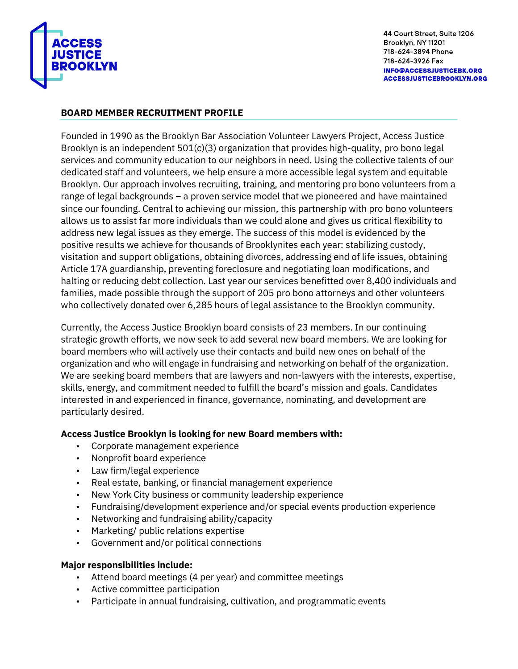

## **BOARD MEMBER RECRUITMENT PROFILE**

Founded in 1990 as the Brooklyn Bar Association Volunteer Lawyers Project, Access Justice Brooklyn is an independent 501(c)(3) organization that provides high-quality, pro bono legal services and community education to our neighbors in need. Using the collective talents of our dedicated staff and volunteers, we help ensure a more accessible legal system and equitable Brooklyn. Our approach involves recruiting, training, and mentoring pro bono volunteers from a range of legal backgrounds – a proven service model that we pioneered and have maintained since our founding. Central to achieving our mission, this partnership with pro bono volunteers allows us to assist far more individuals than we could alone and gives us critical flexibility to address new legal issues as they emerge. The success of this model is evidenced by the positive results we achieve for thousands of Brooklynites each year: stabilizing custody, visitation and support obligations, obtaining divorces, addressing end of life issues, obtaining Article 17A guardianship, preventing foreclosure and negotiating loan modifications, and halting or reducing debt collection. Last year our services benefitted over 8,400 individuals and families, made possible through the support of 205 pro bono attorneys and other volunteers who collectively donated over 6,285 hours of legal assistance to the Brooklyn community.

Currently, the Access Justice Brooklyn board consists of 23 members. In our continuing strategic growth efforts, we now seek to add several new board members. We are looking for board members who will actively use their contacts and build new ones on behalf of the organization and who will engage in fundraising and networking on behalf of the organization. We are seeking board members that are lawyers and non-lawyers with the interests, expertise, skills, energy, and commitment needed to fulfill the board's mission and goals. Candidates interested in and experienced in finance, governance, nominating, and development are particularly desired.

## **Access Justice Brooklyn is looking for new Board members with:**

- Corporate management experience
- Nonprofit board experience
- Law firm/legal experience
- Real estate, banking, or financial management experience
- New York City business or community leadership experience
- Fundraising/development experience and/or special events production experience
- Networking and fundraising ability/capacity
- Marketing/ public relations expertise
- Government and/or political connections

## **Major responsibilities include:**

- Attend board meetings (4 per year) and committee meetings
- Active committee participation
- Participate in annual fundraising, cultivation, and programmatic events